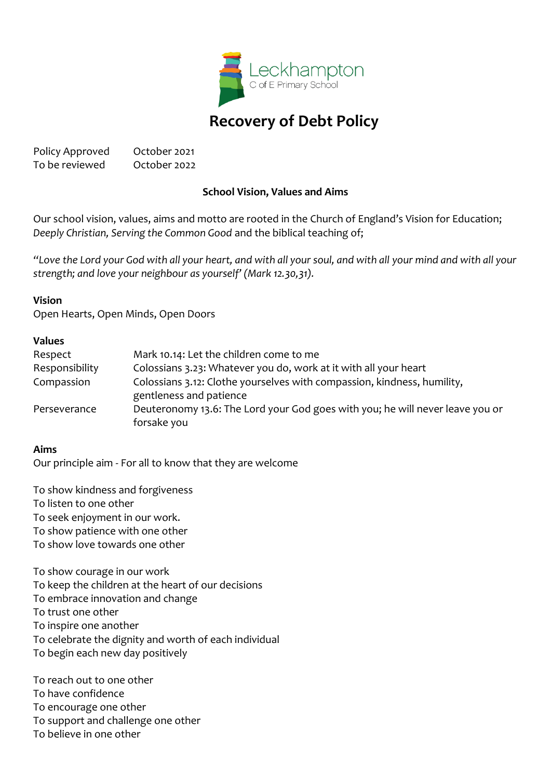

# **Recovery of Debt Policy**

Policy Approved October 2021 To be reviewed October 2022

# **School Vision, Values and Aims**

Our school vision, values, aims and motto are rooted in the Church of England's Vision for Education; *Deeply Christian, Serving the Common Good* and the biblical teaching of;

*"Love the Lord your God with all your heart, and with all your soul, and with all your mind and with all your strength; and love your neighbour as yourself' (Mark 12.30,31).*

#### **Vision**

Open Hearts, Open Minds, Open Doors

#### **Values**

| Respect        | Mark 10.14: Let the children come to me                                                            |
|----------------|----------------------------------------------------------------------------------------------------|
| Responsibility | Colossians 3.23: Whatever you do, work at it with all your heart                                   |
| Compassion     | Colossians 3.12: Clothe yourselves with compassion, kindness, humility,<br>gentleness and patience |
| Perseverance   | Deuteronomy 13.6: The Lord your God goes with you; he will never leave you or<br>forsake you       |
|                |                                                                                                    |

#### **Aims**

Our principle aim - For all to know that they are welcome

To show kindness and forgiveness To listen to one other To seek enjoyment in our work. To show patience with one other To show love towards one other

To show courage in our work To keep the children at the heart of our decisions To embrace innovation and change To trust one other To inspire one another To celebrate the dignity and worth of each individual To begin each new day positively

To reach out to one other To have confidence To encourage one other To support and challenge one other To believe in one other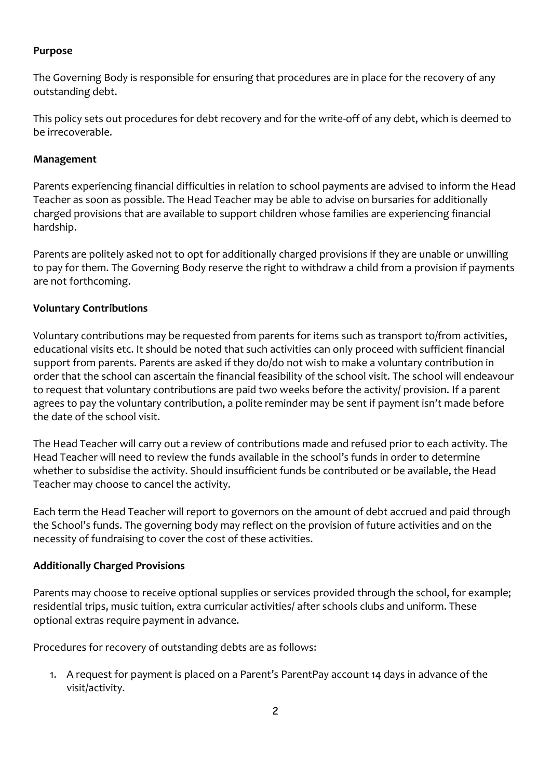# **Purpose**

The Governing Body is responsible for ensuring that procedures are in place for the recovery of any outstanding debt.

This policy sets out procedures for debt recovery and for the write-off of any debt, which is deemed to be irrecoverable.

### **Management**

Parents experiencing financial difficulties in relation to school payments are advised to inform the Head Teacher as soon as possible. The Head Teacher may be able to advise on bursaries for additionally charged provisions that are available to support children whose families are experiencing financial hardship.

Parents are politely asked not to opt for additionally charged provisions if they are unable or unwilling to pay for them. The Governing Body reserve the right to withdraw a child from a provision if payments are not forthcoming.

# **Voluntary Contributions**

Voluntary contributions may be requested from parents for items such as transport to/from activities, educational visits etc. It should be noted that such activities can only proceed with sufficient financial support from parents. Parents are asked if they do/do not wish to make a voluntary contribution in order that the school can ascertain the financial feasibility of the school visit. The school will endeavour to request that voluntary contributions are paid two weeks before the activity/ provision. If a parent agrees to pay the voluntary contribution, a polite reminder may be sent if payment isn't made before the date of the school visit.

The Head Teacher will carry out a review of contributions made and refused prior to each activity. The Head Teacher will need to review the funds available in the school's funds in order to determine whether to subsidise the activity. Should insufficient funds be contributed or be available, the Head Teacher may choose to cancel the activity.

Each term the Head Teacher will report to governors on the amount of debt accrued and paid through the School's funds. The governing body may reflect on the provision of future activities and on the necessity of fundraising to cover the cost of these activities.

# **Additionally Charged Provisions**

Parents may choose to receive optional supplies or services provided through the school, for example; residential trips, music tuition, extra curricular activities/ after schools clubs and uniform. These optional extras require payment in advance.

Procedures for recovery of outstanding debts are as follows:

1. A request for payment is placed on a Parent's ParentPay account 14 days in advance of the visit/activity.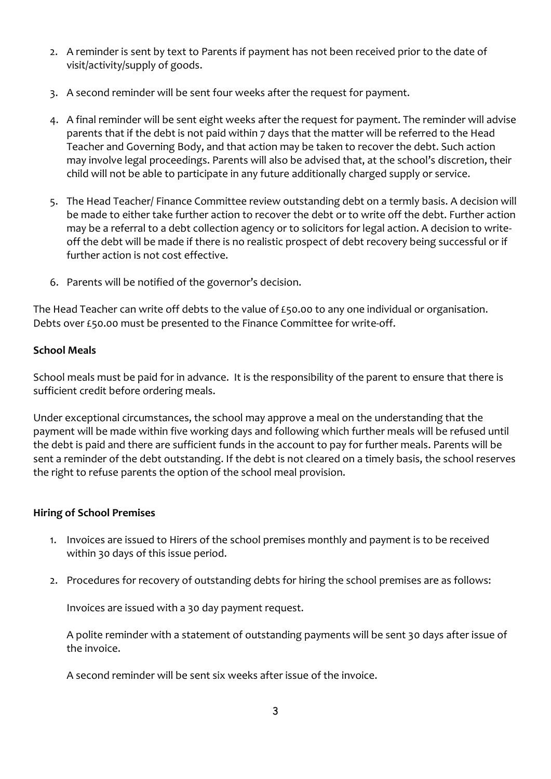- 2. A reminder is sent by text to Parents if payment has not been received prior to the date of visit/activity/supply of goods.
- 3. A second reminder will be sent four weeks after the request for payment.
- 4. A final reminder will be sent eight weeks after the request for payment. The reminder will advise parents that if the debt is not paid within 7 days that the matter will be referred to the Head Teacher and Governing Body, and that action may be taken to recover the debt. Such action may involve legal proceedings. Parents will also be advised that, at the school's discretion, their child will not be able to participate in any future additionally charged supply or service.
- 5. The Head Teacher/ Finance Committee review outstanding debt on a termly basis. A decision will be made to either take further action to recover the debt or to write off the debt. Further action may be a referral to a debt collection agency or to solicitors for legal action. A decision to writeoff the debt will be made if there is no realistic prospect of debt recovery being successful or if further action is not cost effective.
- 6. Parents will be notified of the governor's decision.

The Head Teacher can write off debts to the value of £50.00 to any one individual or organisation. Debts over £50.00 must be presented to the Finance Committee for write-off.

### **School Meals**

School meals must be paid for in advance. It is the responsibility of the parent to ensure that there is sufficient credit before ordering meals.

Under exceptional circumstances, the school may approve a meal on the understanding that the payment will be made within five working days and following which further meals will be refused until the debt is paid and there are sufficient funds in the account to pay for further meals. Parents will be sent a reminder of the debt outstanding. If the debt is not cleared on a timely basis, the school reserves the right to refuse parents the option of the school meal provision.

### **Hiring of School Premises**

- 1. Invoices are issued to Hirers of the school premises monthly and payment is to be received within 30 days of this issue period.
- 2. Procedures for recovery of outstanding debts for hiring the school premises are as follows:

Invoices are issued with a 30 day payment request.

A polite reminder with a statement of outstanding payments will be sent 30 days after issue of the invoice.

A second reminder will be sent six weeks after issue of the invoice.